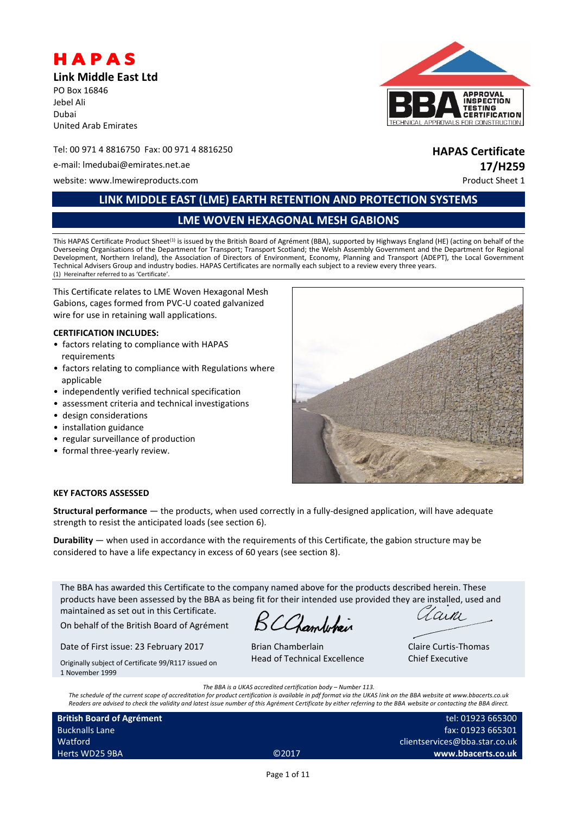

**Link Middle East Ltd**

PO Box 16846 Jebel Ali Dubai United Arab Emirates

#### Tel: 00 971 4 8816750 Fax: 00 971 4 8816250 **HAPAS Certificate**

e-mail: lmedubai@emirates.net.ae **17/H259**

website: www.lmewireproducts.com example of the example of the example of the example of the example of the example of the example of the example of the example of the example of the example of the example of the example o



# **LINK MIDDLE EAST (LME) EARTH RETENTION AND PROTECTION SYSTEMS**

**LME WOVEN HEXAGONAL MESH GABIONS**

This HAPAS Certificate Product Sheet<sup>(1)</sup> is issued by the British Board of Agrément (BBA), supported by Highways England (HE) (acting on behalf of the Overseeing Organisations of the Department for Transport; Transport Scotland; the Welsh Assembly Government and the Department for Regional Development, Northern Ireland), the Association of Directors of Environment, Economy, Planning and Transport (ADEPT), the Local Government Technical Advisers Group and industry bodies. HAPAS Certificates are normally each subject to a review every three years. (1) Hereinafter referred to as 'Certificate'.

This Certificate relates to LME Woven Hexagonal Mesh Gabions, cages formed from PVC-U coated galvanized wire for use in retaining wall applications.

#### **CERTIFICATION INCLUDES:**

- factors relating to compliance with HAPAS requirements
- factors relating to compliance with Regulations where applicable
- independently verified technical specification
- assessment criteria and technical investigations
- design considerations
- installation guidance
- regular surveillance of production
- formal three-yearly review.



#### **KEY FACTORS ASSESSED**

**Structural performance** — the products, when used correctly in a fully-designed application, will have adequate strength to resist the anticipated loads (see section 6).

**Durability** — when used in accordance with the requirements of this Certificate, the gabion structure may be considered to have a life expectancy in excess of 60 years (see section 8).

The BBA has awarded this Certificate to the company named above for the products described herein. These products have been assessed by the BBA as being fit for their intended use provided they are installed, used and maintained as set out in this Certificate.

On behalf of the British Board of Agrément

Date of First issue: 23 February 2017 Originally subject of Certificate 99/R117 issued on

BCChamberlain

Brian Chamberlain Head of Technical Excellence

arni

Claire Curtis-Thomas Chief Executive

*The BBA is a UKAS accredited certification body – Number 113.*

*The schedule of the current scope of accreditation for product certification is available in pdf format via the UKAS link on the BBA website at www.bbacerts.co.uk Readers are advised to check the validity and latest issue number of this Agrément Certificate by either referring to the BBA website or contacting the BBA direct.*

**British Board of Agrément** Bucknalls Lane Watford Herts WD25 9BA ©2017

1 November 1999

tel: 01923 665300 fax: 01923 665301 clientservices@bba.star.co.uk **www.bbacerts.co.uk**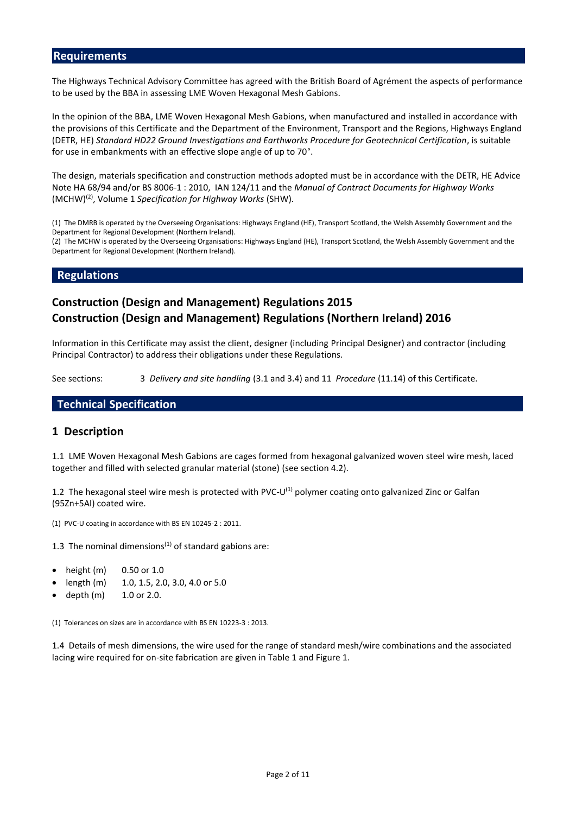#### **Requirements**

The Highways Technical Advisory Committee has agreed with the British Board of Agrément the aspects of performance to be used by the BBA in assessing LME Woven Hexagonal Mesh Gabions.

In the opinion of the BBA, LME Woven Hexagonal Mesh Gabions, when manufactured and installed in accordance with the provisions of this Certificate and the Department of the Environment, Transport and the Regions, Highways England (DETR, HE) *Standard HD22 Ground Investigations and Earthworks Procedure for Geotechnical Certification*, is suitable for use in embankments with an effective slope angle of up to 70°.

The design, materials specification and construction methods adopted must be in accordance with the DETR, HE Advice Note HA 68/94 and/or BS 8006-1 : 2010, IAN 124/11 and the *Manual of Contract Documents for Highway Works* (MCHW)(2) , Volume 1 *Specification for Highway Works* (SHW).

(1) The DMRB is operated by the Overseeing Organisations: Highways England (HE), Transport Scotland, the Welsh Assembly Government and the Department for Regional Development (Northern Ireland).

(2) The MCHW is operated by the Overseeing Organisations: Highways England (HE), Transport Scotland, the Welsh Assembly Government and the Department for Regional Development (Northern Ireland).

#### **Regulations**

# **Construction (Design and Management) Regulations 2015 Construction (Design and Management) Regulations (Northern Ireland) 2016**

Information in this Certificate may assist the client, designer (including Principal Designer) and contractor (including Principal Contractor) to address their obligations under these Regulations.

See sections: 3 *Delivery and site handling* (3.1 and 3.4) and 11 *Procedure* (11.14) of this Certificate.

#### **Technical Specification**

#### **1 Description**

1.1 LME Woven Hexagonal Mesh Gabions are cages formed from hexagonal galvanized woven steel wire mesh, laced together and filled with selected granular material (stone) (see section 4.2).

1.2 The hexagonal steel wire mesh is protected with PVC-U<sup>(1)</sup> polymer coating onto galvanized Zinc or Galfan (95Zn+5Al) coated wire.

(1) PVC-U coating in accordance with BS EN 10245-2 : 2011.

1.3 The nominal dimensions<sup> $(1)$ </sup> of standard gabions are:

- height (m) 0.50 or 1.0
- length (m) 1.0, 1.5, 2.0, 3.0, 4.0 or 5.0
- depth (m) 1.0 or 2.0.

(1) Tolerances on sizes are in accordance with BS EN 10223-3 : 2013.

1.4 Details of mesh dimensions, the wire used for the range of standard mesh/wire combinations and the associated lacing wire required for on-site fabrication are given in Table 1 and Figure 1.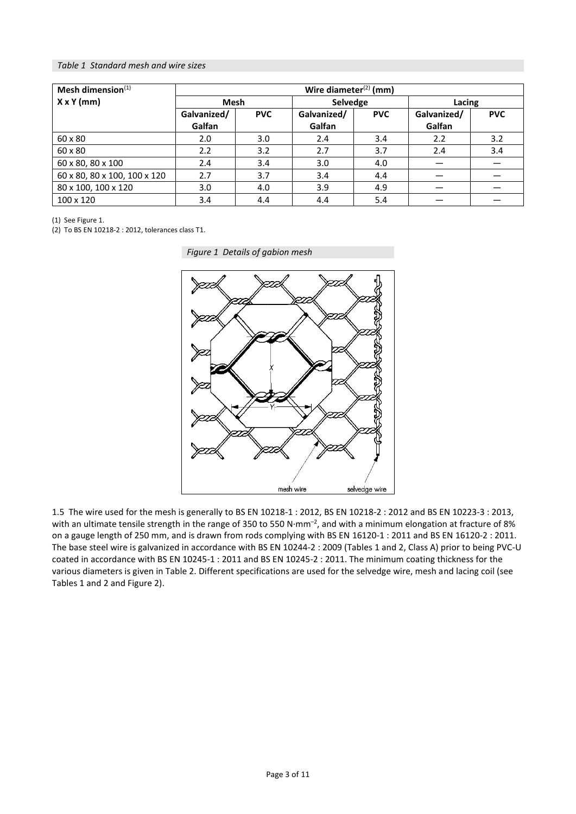#### *Table 1 Standard mesh and wire sizes*

| Mesh dimension $(1)$         | Wire diameter $(2)$ (mm) |            |             |            |             |            |  |
|------------------------------|--------------------------|------------|-------------|------------|-------------|------------|--|
| $X \times Y$ (mm)            | <b>Mesh</b>              |            | Selvedge    |            | Lacing      |            |  |
|                              | Galvanized/              | <b>PVC</b> | Galvanized/ | <b>PVC</b> | Galvanized/ | <b>PVC</b> |  |
|                              | Galfan                   |            | Galfan      |            | Galfan      |            |  |
| 60 x 80                      | 2.0                      | 3.0        | 2.4         | 3.4        | 2.2         | 3.2        |  |
| 60 x 80                      | 2.2                      | 3.2        | 2.7         | 3.7        | 2.4         | 3.4        |  |
| 60 x 80, 80 x 100            | 2.4                      | 3.4        | 3.0         | 4.0        |             |            |  |
| 60 x 80, 80 x 100, 100 x 120 | 2.7                      | 3.7        | 3.4         | 4.4        |             |            |  |
| 80 x 100, 100 x 120          | 3.0                      | 4.0        | 3.9         | 4.9        |             |            |  |
| 100 x 120                    | 3.4                      | 4.4        | 4.4         | 5.4        |             |            |  |

(1) See Figure 1.

(2) To BS EN 10218-2 : 2012, tolerances class T1.

*Figure 1 Details of gabion mesh*



1.5 The wire used for the mesh is generally to BS EN 10218-1 : 2012, BS EN 10218-2 : 2012 and BS EN 10223-3 : 2013, with an ultimate tensile strength in the range of 350 to 550 N $\cdot$ mm<sup>-2</sup>, and with a minimum elongation at fracture of 8% on a gauge length of 250 mm, and is drawn from rods complying with BS EN 16120-1 : 2011 and BS EN 16120-2 : 2011. The base steel wire is galvanized in accordance with BS EN 10244-2 : 2009 (Tables 1 and 2, Class A) prior to being PVC-U coated in accordance with BS EN 10245-1 : 2011 and BS EN 10245-2 : 2011. The minimum coating thickness for the various diameters is given in Table 2. Different specifications are used for the selvedge wire, mesh and lacing coil (see Tables 1 and 2 and Figure 2).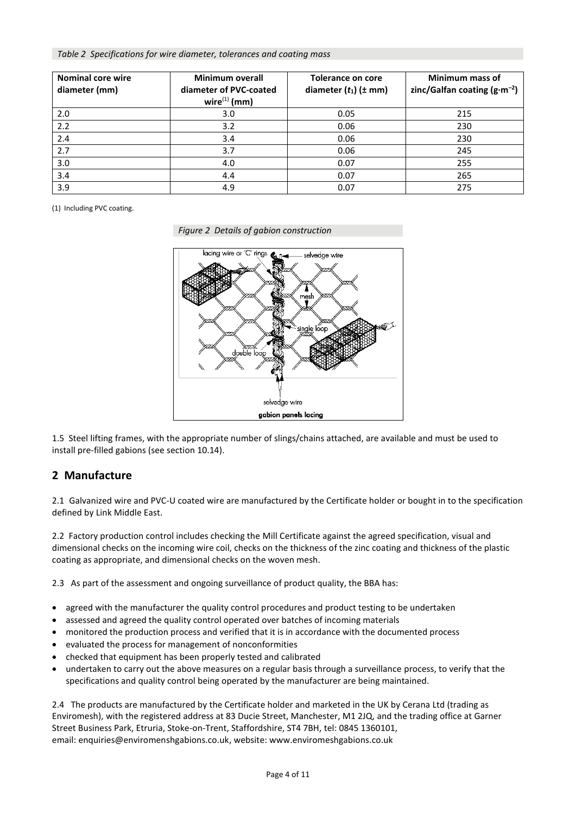*Table 2 Specifications for wire diameter, tolerances and coating mass*

| <b>Nominal core wire</b><br>diameter (mm) | Minimum overall<br>diameter of PVC-coated<br>$wire^{(1)}$ (mm) | Tolerance on core<br>diameter $(t_1)$ ( $\pm$ mm) | Minimum mass of<br>zinc/Galfan coating $(g\cdot m^{-2})$ |
|-------------------------------------------|----------------------------------------------------------------|---------------------------------------------------|----------------------------------------------------------|
| 2.0                                       | 3.0                                                            | 0.05                                              | 215                                                      |
| 2.2                                       | 3.2                                                            | 0.06                                              | 230                                                      |
| 2.4                                       | 3.4                                                            | 0.06                                              | 230                                                      |
| 2.7                                       | 3.7                                                            | 0.06                                              | 245                                                      |
| 3.0                                       | 4.0                                                            | 0.07                                              | 255                                                      |
| 3.4                                       | 4.4                                                            | 0.07                                              | 265                                                      |
| 3.9                                       | 4.9                                                            | 0.07                                              | 275                                                      |

(1) Including PVC coating.

*Figure 2 Details of gabion construction*



1.5 Steel lifting frames, with the appropriate number of slings/chains attached, are available and must be used to install pre-filled gabions (see section 10.14).

# **2 Manufacture**

2.1 Galvanized wire and PVC-U coated wire are manufactured by the Certificate holder or bought in to the specification defined by Link Middle East.

2.2 Factory production control includes checking the Mill Certificate against the agreed specification, visual and dimensional checks on the incoming wire coil, checks on the thickness of the zinc coating and thickness of the plastic coating as appropriate, and dimensional checks on the woven mesh.

2.3 As part of the assessment and ongoing surveillance of product quality, the BBA has:

- agreed with the manufacturer the quality control procedures and product testing to be undertaken
- assessed and agreed the quality control operated over batches of incoming materials
- monitored the production process and verified that it is in accordance with the documented process
- evaluated the process for management of nonconformities
- checked that equipment has been properly tested and calibrated
- undertaken to carry out the above measures on a regular basis through a surveillance process, to verify that the specifications and quality control being operated by the manufacturer are being maintained.

2.4 The products are manufactured by the Certificate holder and marketed in the UK by Cerana Ltd (trading as Enviromesh), with the registered address at 83 Ducie Street, Manchester, M1 2JQ, and the trading office at Garner Street Business Park, Etruria, Stoke-on-Trent, Staffordshire, ST4 7BH, tel: 0845 1360101, email: enquiries@enviromenshgabions.co.uk, website: www.enviromeshgabions.co.uk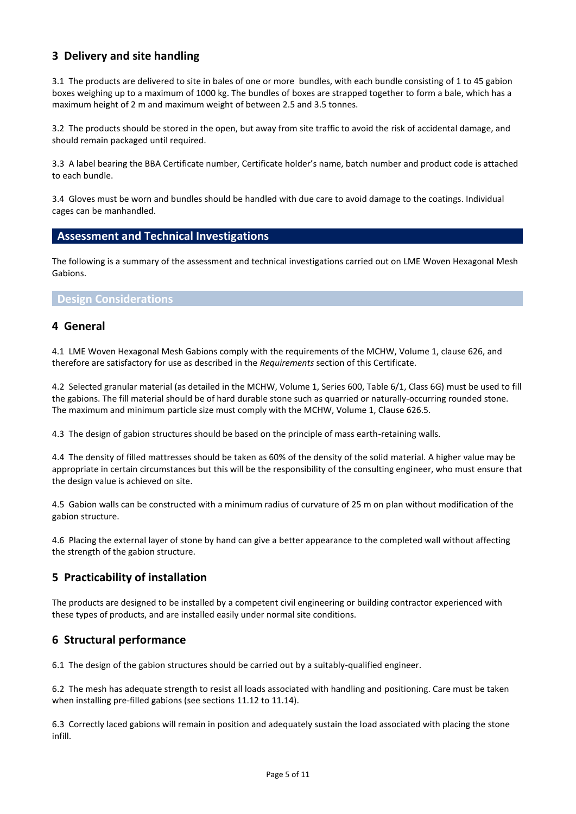# **3 Delivery and site handling**

3.1 The products are delivered to site in bales of one or more bundles, with each bundle consisting of 1 to 45 gabion boxes weighing up to a maximum of 1000 kg. The bundles of boxes are strapped together to form a bale, which has a maximum height of 2 m and maximum weight of between 2.5 and 3.5 tonnes.

3.2 The products should be stored in the open, but away from site traffic to avoid the risk of accidental damage, and should remain packaged until required.

3.3 A label bearing the BBA Certificate number, Certificate holder's name, batch number and product code is attached to each bundle.

3.4 Gloves must be worn and bundles should be handled with due care to avoid damage to the coatings. Individual cages can be manhandled.

# **Assessment and Technical Investigations**

The following is a summary of the assessment and technical investigations carried out on LME Woven Hexagonal Mesh Gabions.

# **Design Considerations**

#### **4 General**

4.1 LME Woven Hexagonal Mesh Gabions comply with the requirements of the MCHW, Volume 1, clause 626, and therefore are satisfactory for use as described in the *Requirements* section of this Certificate.

4.2 Selected granular material (as detailed in the MCHW, Volume 1, Series 600, Table 6/1, Class 6G) must be used to fill the gabions. The fill material should be of hard durable stone such as quarried or naturally-occurring rounded stone. The maximum and minimum particle size must comply with the MCHW, Volume 1, Clause 626.5.

4.3 The design of gabion structures should be based on the principle of mass earth-retaining walls.

4.4 The density of filled mattresses should be taken as 60% of the density of the solid material. A higher value may be appropriate in certain circumstances but this will be the responsibility of the consulting engineer, who must ensure that the design value is achieved on site.

4.5 Gabion walls can be constructed with a minimum radius of curvature of 25 m on plan without modification of the gabion structure.

4.6 Placing the external layer of stone by hand can give a better appearance to the completed wall without affecting the strength of the gabion structure.

# **5 Practicability of installation**

The products are designed to be installed by a competent civil engineering or building contractor experienced with these types of products, and are installed easily under normal site conditions.

# **6 Structural performance**

6.1 The design of the gabion structures should be carried out by a suitably-qualified engineer.

6.2 The mesh has adequate strength to resist all loads associated with handling and positioning. Care must be taken when installing pre-filled gabions (see sections 11.12 to 11.14).

6.3 Correctly laced gabions will remain in position and adequately sustain the load associated with placing the stone infill.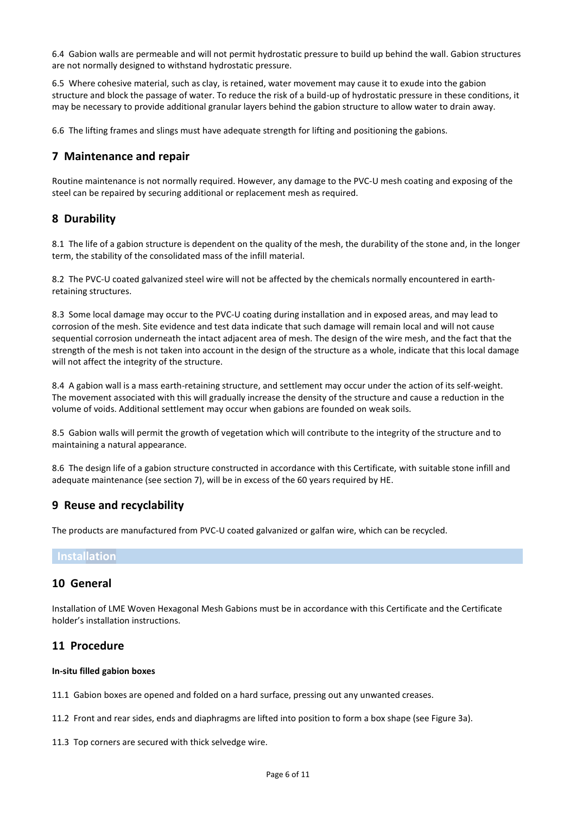6.4 Gabion walls are permeable and will not permit hydrostatic pressure to build up behind the wall. Gabion structures are not normally designed to withstand hydrostatic pressure.

6.5 Where cohesive material, such as clay, is retained, water movement may cause it to exude into the gabion structure and block the passage of water. To reduce the risk of a build-up of hydrostatic pressure in these conditions, it may be necessary to provide additional granular layers behind the gabion structure to allow water to drain away.

6.6 The lifting frames and slings must have adequate strength for lifting and positioning the gabions.

# **7 Maintenance and repair**

Routine maintenance is not normally required. However, any damage to the PVC-U mesh coating and exposing of the steel can be repaired by securing additional or replacement mesh as required.

# **8 Durability**

8.1 The life of a gabion structure is dependent on the quality of the mesh, the durability of the stone and, in the longer term, the stability of the consolidated mass of the infill material.

8.2 The PVC-U coated galvanized steel wire will not be affected by the chemicals normally encountered in earthretaining structures.

8.3 Some local damage may occur to the PVC-U coating during installation and in exposed areas, and may lead to corrosion of the mesh. Site evidence and test data indicate that such damage will remain local and will not cause sequential corrosion underneath the intact adjacent area of mesh. The design of the wire mesh, and the fact that the strength of the mesh is not taken into account in the design of the structure as a whole, indicate that this local damage will not affect the integrity of the structure.

8.4 A gabion wall is a mass earth-retaining structure, and settlement may occur under the action of its self-weight. The movement associated with this will gradually increase the density of the structure and cause a reduction in the volume of voids. Additional settlement may occur when gabions are founded on weak soils.

8.5 Gabion walls will permit the growth of vegetation which will contribute to the integrity of the structure and to maintaining a natural appearance.

8.6 The design life of a gabion structure constructed in accordance with this Certificate, with suitable stone infill and adequate maintenance (see section 7), will be in excess of the 60 years required by HE.

# **9 Reuse and recyclability**

The products are manufactured from PVC-U coated galvanized or galfan wire, which can be recycled.

# **Installation**

# **10 General**

Installation of LME Woven Hexagonal Mesh Gabions must be in accordance with this Certificate and the Certificate holder's installation instructions.

# **11 Procedure**

#### **In-situ filled gabion boxes**

11.1 Gabion boxes are opened and folded on a hard surface, pressing out any unwanted creases.

- 11.2 Front and rear sides, ends and diaphragms are lifted into position to form a box shape (see Figure 3a).
- 11.3 Top corners are secured with thick selvedge wire.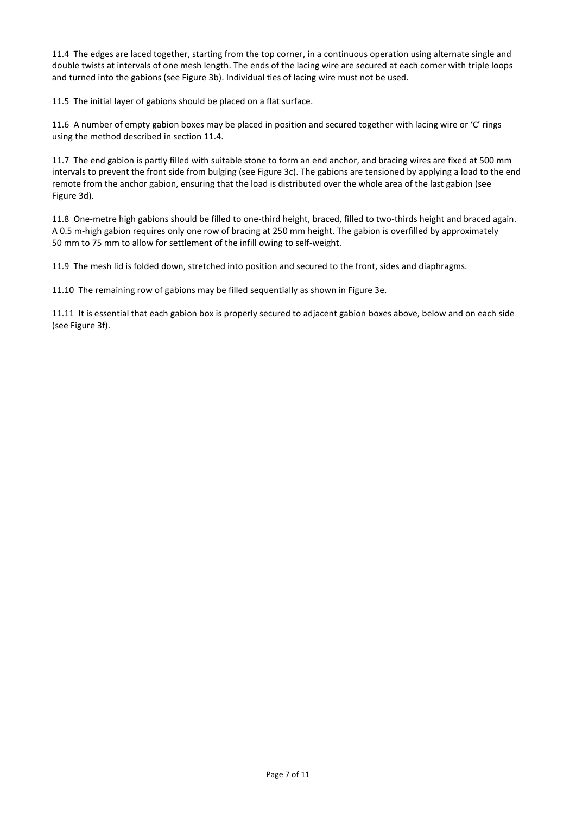11.4 The edges are laced together, starting from the top corner, in a continuous operation using alternate single and double twists at intervals of one mesh length. The ends of the lacing wire are secured at each corner with triple loops and turned into the gabions (see Figure 3b). Individual ties of lacing wire must not be used.

11.5 The initial layer of gabions should be placed on a flat surface.

11.6 A number of empty gabion boxes may be placed in position and secured together with lacing wire or 'C' rings using the method described in section 11.4.

11.7 The end gabion is partly filled with suitable stone to form an end anchor, and bracing wires are fixed at 500 mm intervals to prevent the front side from bulging (see Figure 3c). The gabions are tensioned by applying a load to the end remote from the anchor gabion, ensuring that the load is distributed over the whole area of the last gabion (see Figure 3d).

11.8 One-metre high gabions should be filled to one-third height, braced, filled to two-thirds height and braced again. A 0.5 m-high gabion requires only one row of bracing at 250 mm height. The gabion is overfilled by approximately 50 mm to 75 mm to allow for settlement of the infill owing to self-weight.

11.9 The mesh lid is folded down, stretched into position and secured to the front, sides and diaphragms.

11.10 The remaining row of gabions may be filled sequentially as shown in Figure 3e.

11.11 It is essential that each gabion box is properly secured to adjacent gabion boxes above, below and on each side (see Figure 3f).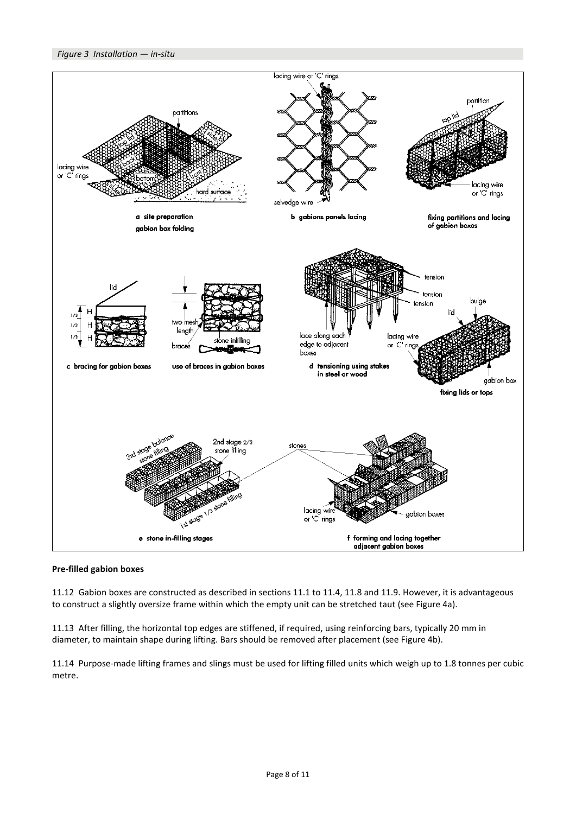

#### **Pre-filled gabion boxes**

11.12 Gabion boxes are constructed as described in sections 11.1 to 11.4, 11.8 and 11.9. However, it is advantageous to construct a slightly oversize frame within which the empty unit can be stretched taut (see Figure 4a).

11.13 After filling, the horizontal top edges are stiffened, if required, using reinforcing bars, typically 20 mm in diameter, to maintain shape during lifting. Bars should be removed after placement (see Figure 4b).

11.14 Purpose-made lifting frames and slings must be used for lifting filled units which weigh up to 1.8 tonnes per cubic metre.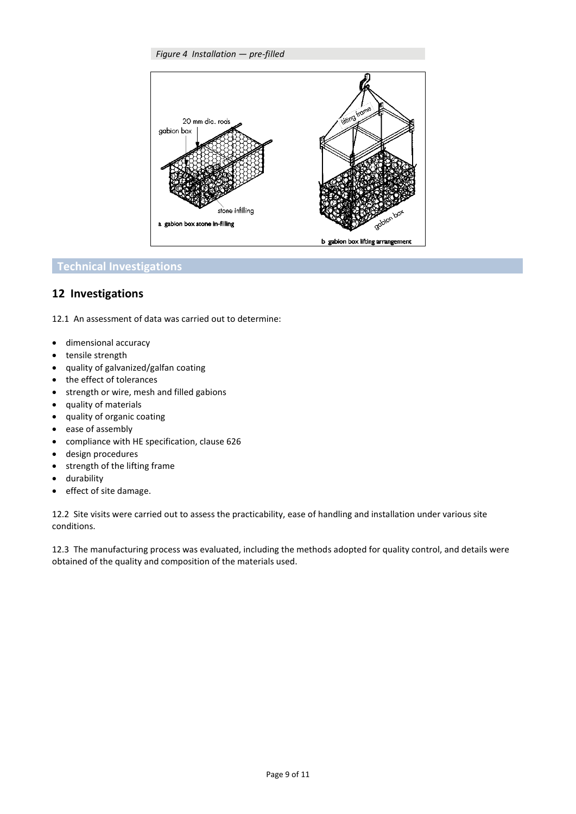#### *Figure 4 Installation — pre-filled*



# **Technical Investigations**

# **12 Investigations**

12.1 An assessment of data was carried out to determine:

- dimensional accuracy
- tensile strength
- quality of galvanized/galfan coating
- the effect of tolerances
- strength or wire, mesh and filled gabions
- quality of materials
- quality of organic coating
- ease of assembly
- compliance with HE specification, clause 626
- design procedures
- strength of the lifting frame
- durability
- effect of site damage.

12.2 Site visits were carried out to assess the practicability, ease of handling and installation under various site conditions.

12.3 The manufacturing process was evaluated, including the methods adopted for quality control, and details were obtained of the quality and composition of the materials used.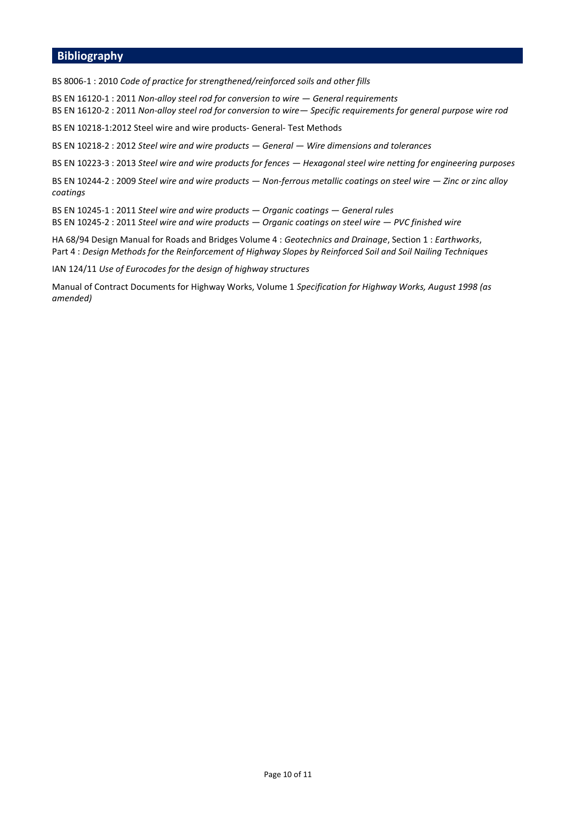#### **Bibliography**

BS 8006-1 : 2010 *Code of practice for strengthened/reinforced soils and other fills*

BS EN 16120-1 : 2011 *Non-alloy steel rod for conversion to wire — General requirements* BS EN 16120-2 : 2011 *Non-alloy steel rod for conversion to wire— Specific requirements for general purpose wire rod*

BS EN 10218-1:2012 Steel wire and wire products- General- Test Methods

BS EN 10218-2 : 2012 *Steel wire and wire products — General — Wire dimensions and tolerances*

BS EN 10223-3 : 2013 *Steel wire and wire products for fences — Hexagonal steel wire netting for engineering purposes*

BS EN 10244-2 : 2009 *Steel wire and wire products — Non-ferrous metallic coatings on steel wire — Zinc or zinc alloy coatings*

BS EN 10245-1 : 2011 *Steel wire and wire products — Organic coatings — General rules*

BS EN 10245-2 : 2011 *Steel wire and wire products — Organic coatings on steel wire — PVC finished wire*

HA 68/94 Design Manual for Roads and Bridges Volume 4 : *Geotechnics and Drainage*, Section 1 : *Earthworks*, Part 4 : *Design Methods for the Reinforcement of Highway Slopes by Reinforced Soil and Soil Nailing Techniques*

IAN 124/11 *Use of Eurocodes for the design of highway structures*

Manual of Contract Documents for Highway Works, Volume 1 *Specification for Highway Works, August 1998 (as amended)*